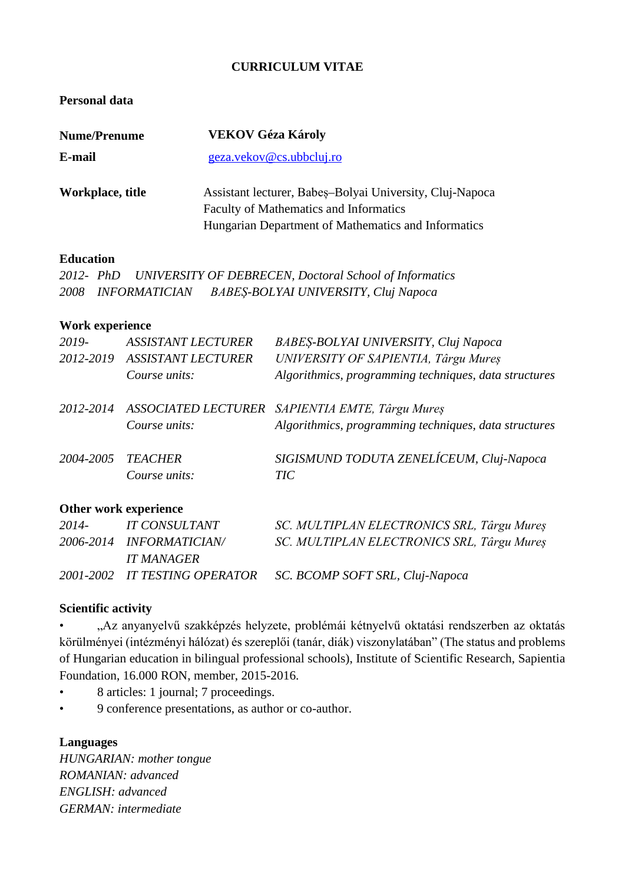# **CURRICULUM VITAE**

# **Personal data**

| <b>Nume/Prenume</b> | <b>VEKOV Géza Károly</b>                                 |
|---------------------|----------------------------------------------------------|
| E-mail              | geza.vekov@cs.ubbcluj.ro                                 |
| Workplace, title    | Assistant lecturer, Babes–Bolyai University, Cluj-Napoca |
|                     | <b>Faculty of Mathematics and Informatics</b>            |
|                     | Hungarian Department of Mathematics and Informatics      |

### **Education**

*2012- PhD UNIVERSITY OF DEBRECEN, Doctoral School of Informatics 2008 INFORMATICIAN BABEȘ-BOLYAI UNIVERSITY, Cluj Napoca*

### **Work experience**

| 2019-     | <i>ASSISTANT LECTURER</i> | BABEŞ-BOLYAI UNIVERSITY, Cluj Napoca                      |
|-----------|---------------------------|-----------------------------------------------------------|
| 2012-2019 | <b>ASSISTANT LECTURER</b> | UNIVERSITY OF SAPIENTIA, Târgu Mureș                      |
|           | Course units:             | Algorithmics, programming techniques, data structures     |
|           |                           | 2012-2014 ASSOCIATED LECTURER SAPIENTIA EMTE, Târgu Mureș |
|           | Course units:             | Algorithmics, programming techniques, data structures     |
| 2004-2005 | <b>TEACHER</b>            | SIGISMUND TODUTA ZENELÍCEUM, Cluj-Napoca                  |
|           | Course units:             | TIC                                                       |

# **Other work experience**

| 2014- | IT CONSULTANT            | SC. MULTIPLAN ELECTRONICS SRL, Târgu Mureș                    |
|-------|--------------------------|---------------------------------------------------------------|
|       | 2006-2014 INFORMATICIAN/ | SC. MULTIPLAN ELECTRONICS SRL, Târgu Mures                    |
|       | IT MANAGER               |                                                               |
|       |                          | 2001-2002 IT TESTING OPERATOR SC. BCOMP SOFT SRL, Cluj-Napoca |

### **Scientific activity**

• "Az anyanyelvű szakképzés helyzete, problémái kétnyelvű oktatási rendszerben az oktatás körülményei (intézményi hálózat) és szereplői (tanár, diák) viszonylatában" (The status and problems of Hungarian education in bilingual professional schools), Institute of Scientific Research, Sapientia Foundation, 16.000 RON, member, 2015-2016.

- 8 articles: 1 journal; 7 proceedings.
- 9 conference presentations, as author or co-author.

### **Languages**

*HUNGARIAN: mother tongue ROMANIAN: advanced ENGLISH: advanced GERMAN: intermediate*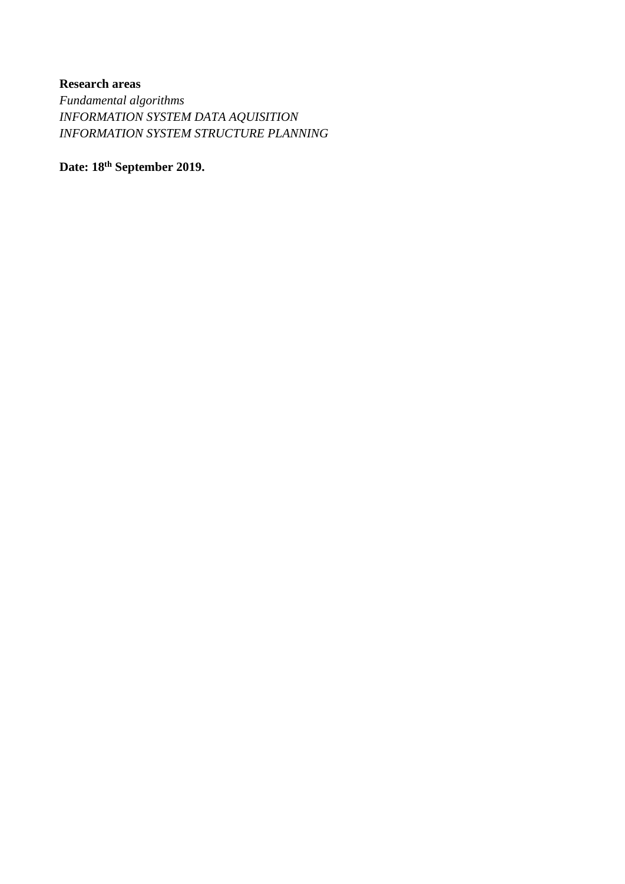# **Research areas**

*Fundamental algorithms INFORMATION SYSTEM DATA AQUISITION INFORMATION SYSTEM STRUCTURE PLANNING*

**Date: 18th September 2019.**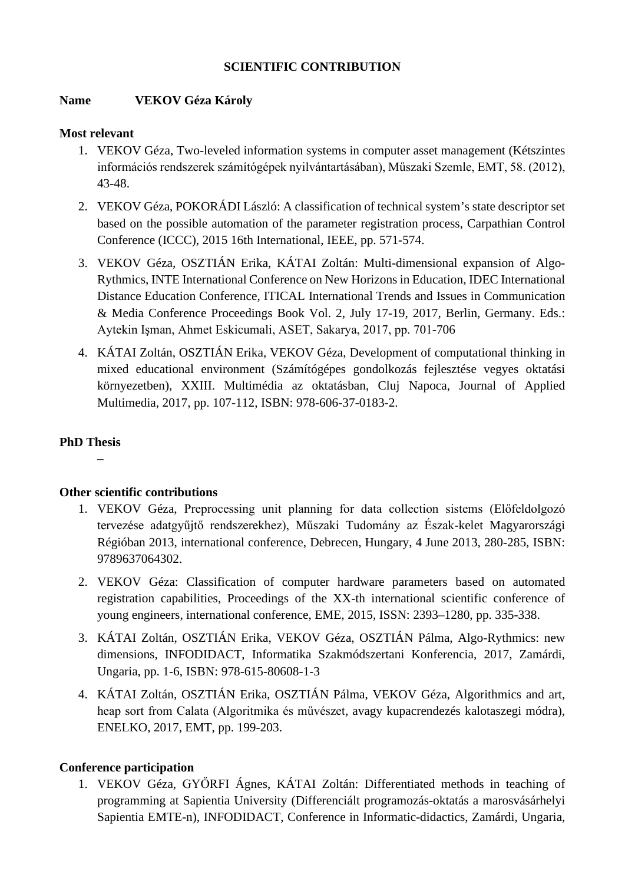# **SCIENTIFIC CONTRIBUTION**

# **Name VEKOV Géza Károly**

### **Most relevant**

- 1. VEKOV Géza, Two-leveled information systems in computer asset management (Kétszintes információs rendszerek számítógépek nyilvántartásában), Műszaki Szemle, EMT, 58. (2012), 43-48.
- 2. VEKOV Géza, POKORÁDI László: A classification of technical system's state descriptor set based on the possible automation of the parameter registration process, Carpathian Control Conference (ICCC), 2015 16th International, IEEE, pp. 571-574.
- 3. VEKOV Géza, OSZTIÁN Erika, KÁTAI Zoltán: Multi-dimensional expansion of Algo-Rythmics, INTE International Conference on New Horizons in Education, IDEC International Distance Education Conference, ITICAL International Trends and Issues in Communication & Media Conference Proceedings Book Vol. 2, July 17-19, 2017, Berlin, Germany. Eds.: Aytekin Işman, Ahmet Eskicumali, ASET, Sakarya, 2017, pp. 701-706
- 4. KÁTAI Zoltán, OSZTIÁN Erika, VEKOV Géza, Development of computational thinking in mixed educational environment (Számítógépes gondolkozás fejlesztése vegyes oktatási környezetben), XXIII. Multimédia az oktatásban, Cluj Napoca, Journal of Applied Multimedia, 2017, pp. 107-112, ISBN: 978-606-37-0183-2.

# **PhD Thesis**

**–**

# **Other scientific contributions**

- 1. VEKOV Géza, Preprocessing unit planning for data collection sistems (Előfeldolgozó tervezése adatgyűjtő rendszerekhez), Műszaki Tudomány az Észak-kelet Magyarországi Régióban 2013, international conference, Debrecen, Hungary, 4 June 2013, 280-285, ISBN: 9789637064302.
- 2. VEKOV Géza: Classification of computer hardware parameters based on automated registration capabilities, Proceedings of the XX-th international scientific conference of young engineers, international conference, EME, 2015, ISSN: 2393–1280, pp. 335-338.
- 3. KÁTAI Zoltán, OSZTIÁN Erika, VEKOV Géza, OSZTIÁN Pálma, Algo-Rythmics: new dimensions, INFODIDACT, Informatika Szakmódszertani Konferencia, 2017, Zamárdi, Ungaria, pp. 1-6, ISBN: 978-615-80608-1-3
- 4. KÁTAI Zoltán, OSZTIÁN Erika, OSZTIÁN Pálma, VEKOV Géza, Algorithmics and art, heap sort from Calata (Algoritmika és művészet, avagy kupacrendezés kalotaszegi módra), ENELKO, 2017, EMT, pp. 199-203.

# **Conference participation**

1. VEKOV Géza, GYŐRFI Ágnes, KÁTAI Zoltán: Differentiated methods in teaching of programming at Sapientia University (Differenciált programozás-oktatás a marosvásárhelyi Sapientia EMTE-n), INFODIDACT, Conference in Informatic-didactics, Zamárdi, Ungaria,